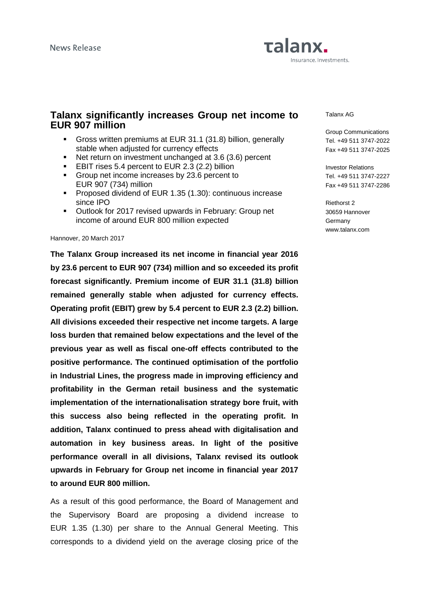# Talanx. Insurance. Investments.

### **Talanx significantly increases Group net income to EUR 907 million**

- Gross written premiums at EUR 31.1 (31.8) billion, generally stable when adjusted for currency effects
- Net return on investment unchanged at 3.6 (3.6) percent
- **EBIT rises 5.4 percent to EUR 2.3 (2.2) billion**
- Group net income increases by 23.6 percent to EUR 907 (734) million
- **Proposed dividend of EUR 1.35 (1.30): continuous increase** since IPO
- Outlook for 2017 revised upwards in February: Group net income of around EUR 800 million expected

#### Hannover, 20 March 2017

**The Talanx Group increased its net income in financial year 2016 by 23.6 percent to EUR 907 (734) million and so exceeded its profit forecast significantly. Premium income of EUR 31.1 (31.8) billion remained generally stable when adjusted for currency effects. Operating profit (EBIT) grew by 5.4 percent to EUR 2.3 (2.2) billion. All divisions exceeded their respective net income targets. A large loss burden that remained below expectations and the level of the previous year as well as fiscal one-off effects contributed to the positive performance. The continued optimisation of the portfolio in Industrial Lines, the progress made in improving efficiency and profitability in the German retail business and the systematic implementation of the internationalisation strategy bore fruit, with this success also being reflected in the operating profit. In addition, Talanx continued to press ahead with digitalisation and automation in key business areas. In light of the positive performance overall in all divisions, Talanx revised its outlook upwards in February for Group net income in financial year 2017 to around EUR 800 million.** 

As a result of this good performance, the Board of Management and the Supervisory Board are proposing a dividend increase to EUR 1.35 (1.30) per share to the Annual General Meeting. This corresponds to a dividend yield on the average closing price of the

Talanx AG

Group Communications Tel. +49 511 3747-2022 Fax +49 511 3747-2025

Investor Relations Tel. +49 511 3747-2227 Fax +49 511 3747-2286

Riethorst 2 30659 Hannover **Germany** www.talanx.com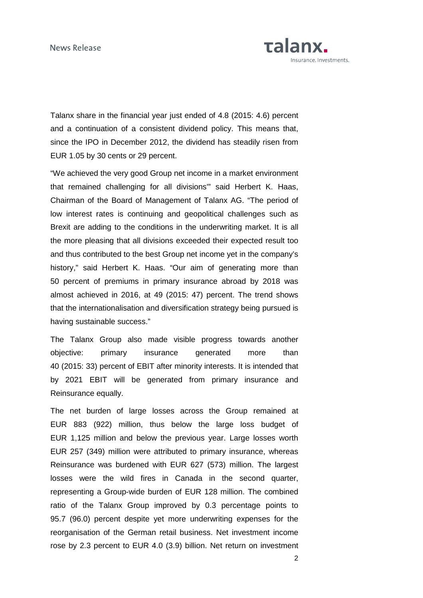

Talanx share in the financial year just ended of 4.8 (2015: 4.6) percent and a continuation of a consistent dividend policy. This means that, since the IPO in December 2012, the dividend has steadily risen from EUR 1.05 by 30 cents or 29 percent.

"We achieved the very good Group net income in a market environment that remained challenging for all divisions'" said Herbert K. Haas, Chairman of the Board of Management of Talanx AG. "The period of low interest rates is continuing and geopolitical challenges such as Brexit are adding to the conditions in the underwriting market. It is all the more pleasing that all divisions exceeded their expected result too and thus contributed to the best Group net income yet in the company's history," said Herbert K. Haas. "Our aim of generating more than 50 percent of premiums in primary insurance abroad by 2018 was almost achieved in 2016, at 49 (2015: 47) percent. The trend shows that the internationalisation and diversification strategy being pursued is having sustainable success."

The Talanx Group also made visible progress towards another objective: primary insurance generated more than 40 (2015: 33) percent of EBIT after minority interests. It is intended that by 2021 EBIT will be generated from primary insurance and Reinsurance equally.

The net burden of large losses across the Group remained at EUR 883 (922) million, thus below the large loss budget of EUR 1,125 million and below the previous year. Large losses worth EUR 257 (349) million were attributed to primary insurance, whereas Reinsurance was burdened with EUR 627 (573) million. The largest losses were the wild fires in Canada in the second quarter, representing a Group-wide burden of EUR 128 million. The combined ratio of the Talanx Group improved by 0.3 percentage points to 95.7 (96.0) percent despite yet more underwriting expenses for the reorganisation of the German retail business. Net investment income rose by 2.3 percent to EUR 4.0 (3.9) billion. Net return on investment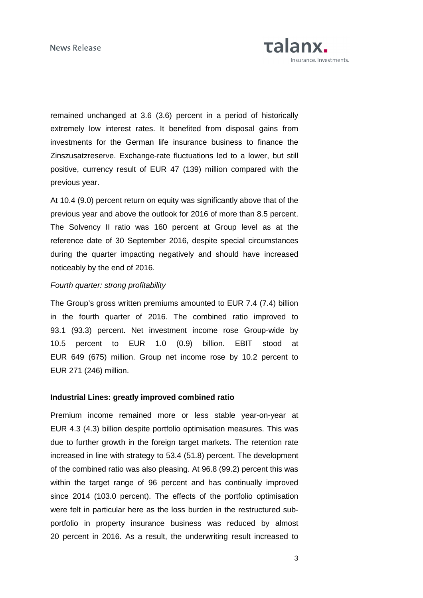News Release



remained unchanged at 3.6 (3.6) percent in a period of historically extremely low interest rates. It benefited from disposal gains from investments for the German life insurance business to finance the Zinszusatzreserve. Exchange-rate fluctuations led to a lower, but still positive, currency result of EUR 47 (139) million compared with the previous year.

At 10.4 (9.0) percent return on equity was significantly above that of the previous year and above the outlook for 2016 of more than 8.5 percent. The Solvency II ratio was 160 percent at Group level as at the reference date of 30 September 2016, despite special circumstances during the quarter impacting negatively and should have increased noticeably by the end of 2016.

#### Fourth quarter: strong profitability

The Group's gross written premiums amounted to EUR 7.4 (7.4) billion in the fourth quarter of 2016. The combined ratio improved to 93.1 (93.3) percent. Net investment income rose Group-wide by 10.5 percent to EUR 1.0 (0.9) billion. EBIT stood at EUR 649 (675) million. Group net income rose by 10.2 percent to EUR 271 (246) million.

#### **Industrial Lines: greatly improved combined ratio**

Premium income remained more or less stable year-on-year at EUR 4.3 (4.3) billion despite portfolio optimisation measures. This was due to further growth in the foreign target markets. The retention rate increased in line with strategy to 53.4 (51.8) percent. The development of the combined ratio was also pleasing. At 96.8 (99.2) percent this was within the target range of 96 percent and has continually improved since 2014 (103.0 percent). The effects of the portfolio optimisation were felt in particular here as the loss burden in the restructured subportfolio in property insurance business was reduced by almost 20 percent in 2016. As a result, the underwriting result increased to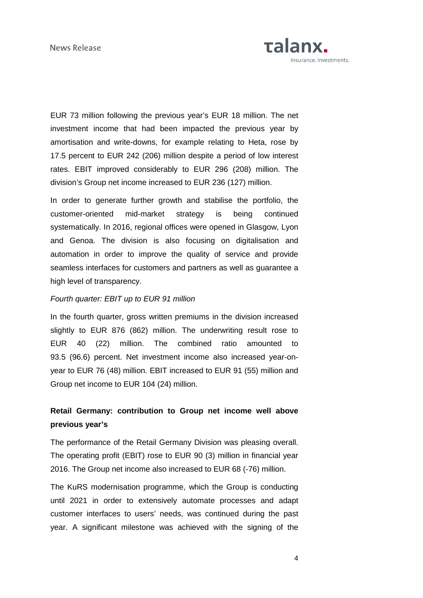

EUR 73 million following the previous year's EUR 18 million. The net investment income that had been impacted the previous year by amortisation and write-downs, for example relating to Heta, rose by 17.5 percent to EUR 242 (206) million despite a period of low interest rates. EBIT improved considerably to EUR 296 (208) million. The division's Group net income increased to EUR 236 (127) million.

In order to generate further growth and stabilise the portfolio, the customer-oriented mid-market strategy is being continued systematically. In 2016, regional offices were opened in Glasgow, Lyon and Genoa. The division is also focusing on digitalisation and automation in order to improve the quality of service and provide seamless interfaces for customers and partners as well as guarantee a high level of transparency.

#### Fourth quarter: EBIT up to EUR 91 million

In the fourth quarter, gross written premiums in the division increased slightly to EUR 876 (862) million. The underwriting result rose to EUR 40 (22) million. The combined ratio amounted to 93.5 (96.6) percent. Net investment income also increased year-onyear to EUR 76 (48) million. EBIT increased to EUR 91 (55) million and Group net income to EUR 104 (24) million.

## **Retail Germany: contribution to Group net income well above previous year's**

The performance of the Retail Germany Division was pleasing overall. The operating profit (EBIT) rose to EUR 90 (3) million in financial year 2016. The Group net income also increased to EUR 68 (-76) million.

The KuRS modernisation programme, which the Group is conducting until 2021 in order to extensively automate processes and adapt customer interfaces to users' needs, was continued during the past year. A significant milestone was achieved with the signing of the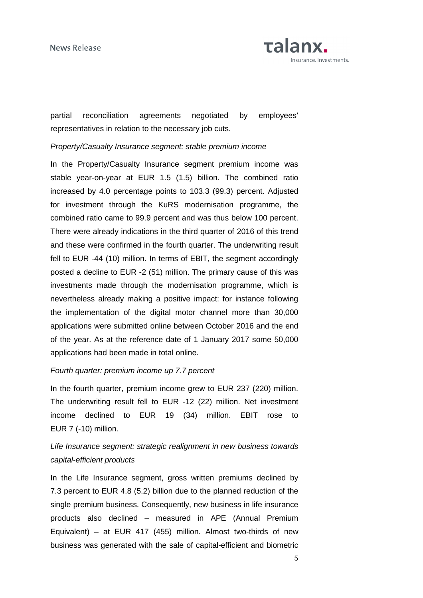

partial reconciliation agreements negotiated by employees' representatives in relation to the necessary job cuts.

#### Property/Casualty Insurance segment: stable premium income

In the Property/Casualty Insurance segment premium income was stable year-on-year at EUR 1.5 (1.5) billion. The combined ratio increased by 4.0 percentage points to 103.3 (99.3) percent. Adjusted for investment through the KuRS modernisation programme, the combined ratio came to 99.9 percent and was thus below 100 percent. There were already indications in the third quarter of 2016 of this trend and these were confirmed in the fourth quarter. The underwriting result fell to EUR -44 (10) million. In terms of EBIT, the segment accordingly posted a decline to EUR -2 (51) million. The primary cause of this was investments made through the modernisation programme, which is nevertheless already making a positive impact: for instance following the implementation of the digital motor channel more than 30,000 applications were submitted online between October 2016 and the end of the year. As at the reference date of 1 January 2017 some 50,000 applications had been made in total online.

#### Fourth quarter: premium income up 7.7 percent

In the fourth quarter, premium income grew to EUR 237 (220) million. The underwriting result fell to EUR -12 (22) million. Net investment income declined to EUR 19 (34) million. EBIT rose to EUR 7 (-10) million.

## Life Insurance segment: strategic realignment in new business towards capital-efficient products

In the Life Insurance segment, gross written premiums declined by 7.3 percent to EUR 4.8 (5.2) billion due to the planned reduction of the single premium business. Consequently, new business in life insurance products also declined – measured in APE (Annual Premium Equivalent) – at EUR 417 (455) million. Almost two-thirds of new business was generated with the sale of capital-efficient and biometric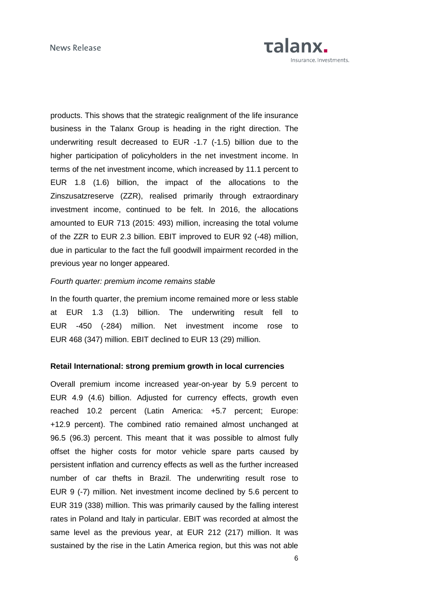

products. This shows that the strategic realignment of the life insurance business in the Talanx Group is heading in the right direction. The underwriting result decreased to EUR -1.7 (-1.5) billion due to the higher participation of policyholders in the net investment income. In terms of the net investment income, which increased by 11.1 percent to EUR 1.8 (1.6) billion, the impact of the allocations to the Zinszusatzreserve (ZZR), realised primarily through extraordinary investment income, continued to be felt. In 2016, the allocations amounted to EUR 713 (2015: 493) million, increasing the total volume of the ZZR to EUR 2.3 billion. EBIT improved to EUR 92 (-48) million, due in particular to the fact the full goodwill impairment recorded in the previous year no longer appeared.

#### Fourth quarter: premium income remains stable

In the fourth quarter, the premium income remained more or less stable at EUR 1.3 (1.3) billion. The underwriting result fell to EUR -450 (-284) million. Net investment income rose to EUR 468 (347) million. EBIT declined to EUR 13 (29) million.

#### **Retail International: strong premium growth in local currencies**

Overall premium income increased year-on-year by 5.9 percent to EUR 4.9 (4.6) billion. Adjusted for currency effects, growth even reached 10.2 percent (Latin America: +5.7 percent; Europe: +12.9 percent). The combined ratio remained almost unchanged at 96.5 (96.3) percent. This meant that it was possible to almost fully offset the higher costs for motor vehicle spare parts caused by persistent inflation and currency effects as well as the further increased number of car thefts in Brazil. The underwriting result rose to EUR 9 (-7) million. Net investment income declined by 5.6 percent to EUR 319 (338) million. This was primarily caused by the falling interest rates in Poland and Italy in particular. EBIT was recorded at almost the same level as the previous year, at EUR 212 (217) million. It was sustained by the rise in the Latin America region, but this was not able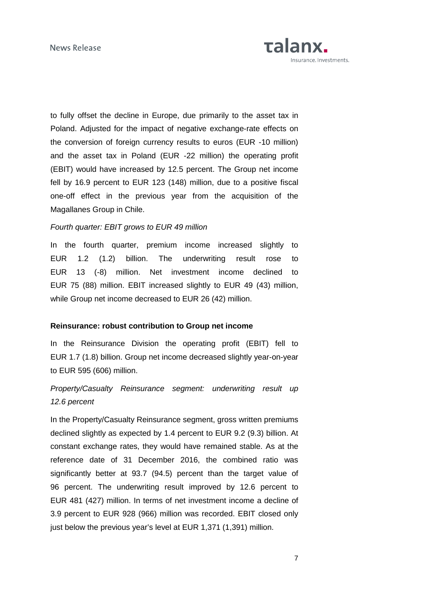

to fully offset the decline in Europe, due primarily to the asset tax in Poland. Adjusted for the impact of negative exchange-rate effects on the conversion of foreign currency results to euros (EUR -10 million) and the asset tax in Poland (EUR -22 million) the operating profit (EBIT) would have increased by 12.5 percent. The Group net income fell by 16.9 percent to EUR 123 (148) million, due to a positive fiscal one-off effect in the previous year from the acquisition of the Magallanes Group in Chile.

#### Fourth quarter: EBIT grows to EUR 49 million

In the fourth quarter, premium income increased slightly to EUR 1.2 (1.2) billion. The underwriting result rose to EUR 13 (-8) million. Net investment income declined to EUR 75 (88) million. EBIT increased slightly to EUR 49 (43) million, while Group net income decreased to EUR 26 (42) million.

#### **Reinsurance: robust contribution to Group net income**

In the Reinsurance Division the operating profit (EBIT) fell to EUR 1.7 (1.8) billion. Group net income decreased slightly year-on-year to EUR 595 (606) million.

## Property/Casualty Reinsurance segment: underwriting result up 12.6 percent

In the Property/Casualty Reinsurance segment, gross written premiums declined slightly as expected by 1.4 percent to EUR 9.2 (9.3) billion. At constant exchange rates, they would have remained stable. As at the reference date of 31 December 2016, the combined ratio was significantly better at 93.7 (94.5) percent than the target value of 96 percent. The underwriting result improved by 12.6 percent to EUR 481 (427) million. In terms of net investment income a decline of 3.9 percent to EUR 928 (966) million was recorded. EBIT closed only just below the previous year's level at EUR 1,371 (1,391) million.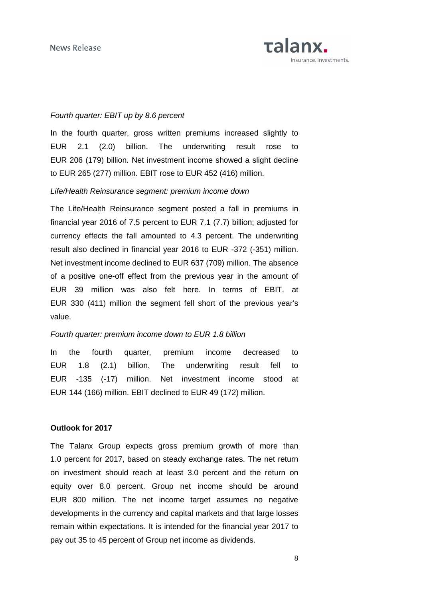

#### Fourth quarter: EBIT up by 8.6 percent

In the fourth quarter, gross written premiums increased slightly to EUR 2.1 (2.0) billion. The underwriting result rose to EUR 206 (179) billion. Net investment income showed a slight decline to EUR 265 (277) million. EBIT rose to EUR 452 (416) million.

#### Life/Health Reinsurance segment: premium income down

The Life/Health Reinsurance segment posted a fall in premiums in financial year 2016 of 7.5 percent to EUR 7.1 (7.7) billion; adjusted for currency effects the fall amounted to 4.3 percent. The underwriting result also declined in financial year 2016 to EUR -372 (-351) million. Net investment income declined to EUR 637 (709) million. The absence of a positive one-off effect from the previous year in the amount of EUR 39 million was also felt here. In terms of EBIT, at EUR 330 (411) million the segment fell short of the previous year's value.

### Fourth quarter: premium income down to EUR 1.8 billion

In the fourth quarter, premium income decreased to EUR 1.8 (2.1) billion. The underwriting result fell to EUR -135 (-17) million. Net investment income stood at EUR 144 (166) million. EBIT declined to EUR 49 (172) million.

#### **Outlook for 2017**

The Talanx Group expects gross premium growth of more than 1.0 percent for 2017, based on steady exchange rates. The net return on investment should reach at least 3.0 percent and the return on equity over 8.0 percent. Group net income should be around EUR 800 million. The net income target assumes no negative developments in the currency and capital markets and that large losses remain within expectations. It is intended for the financial year 2017 to pay out 35 to 45 percent of Group net income as dividends.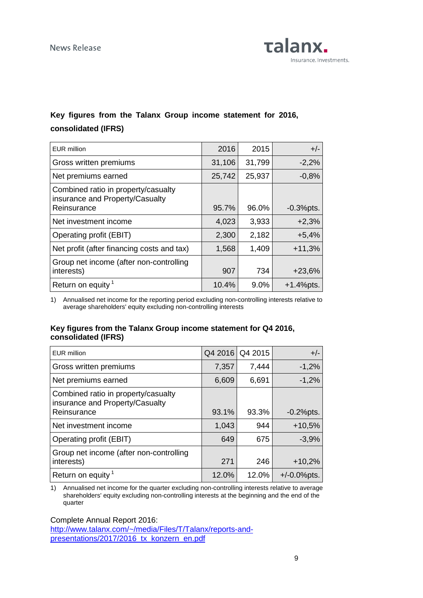

## **Key figures from the Talanx Group income statement for 2016, consolidated (IFRS)**

| EUR million                                                                           | 2016   | 2015   | $+/-$        |
|---------------------------------------------------------------------------------------|--------|--------|--------------|
| Gross written premiums                                                                | 31,106 | 31,799 | $-2,2%$      |
| Net premiums earned                                                                   | 25,742 | 25,937 | $-0,8%$      |
| Combined ratio in property/casualty<br>insurance and Property/Casualty<br>Reinsurance | 95.7%  | 96.0%  | $-0.3%$ pts. |
| Net investment income                                                                 | 4,023  | 3,933  | $+2,3%$      |
| Operating profit (EBIT)                                                               | 2,300  | 2,182  | $+5,4%$      |
| Net profit (after financing costs and tax)                                            | 1,568  | 1,409  | $+11,3%$     |
| Group net income (after non-controlling<br>interests)                                 | 907    | 734    | $+23,6%$     |
| Return on equity <sup>1</sup>                                                         | 10.4%  | 9.0%   | $+1.4%$ pts. |

1) Annualised net income for the reporting period excluding non-controlling interests relative to average shareholders' equity excluding non-controlling interests

### **Key figures from the Talanx Group income statement for Q4 2016, consolidated (IFRS)**

| <b>EUR</b> million                                                                    | Q4 2016 | Q4 2015 | $+/-$           |
|---------------------------------------------------------------------------------------|---------|---------|-----------------|
| Gross written premiums                                                                | 7,357   | 7,444   | $-1,2%$         |
| Net premiums earned                                                                   | 6,609   | 6,691   | $-1,2%$         |
| Combined ratio in property/casualty<br>insurance and Property/Casualty<br>Reinsurance | 93.1%   | 93.3%   | $-0.2%$ pts.    |
| Net investment income                                                                 | 1,043   | 944     | $+10,5%$        |
| Operating profit (EBIT)                                                               | 649     | 675     | $-3,9%$         |
| Group net income (after non-controlling<br>interests)                                 | 271     | 246     | $+10,2%$        |
| Return on equity <sup>1</sup>                                                         | 12.0%   | 12.0%   | $+/-0.0\%$ pts. |

1) Annualised net income for the quarter excluding non-controlling interests relative to average shareholders' equity excluding non-controlling interests at the beginning and the end of the quarter

Complete Annual Report 2016:

http://www.talanx.com/~/media/Files/T/Talanx/reports-andpresentations/2017/2016\_tx\_konzern\_en.pdf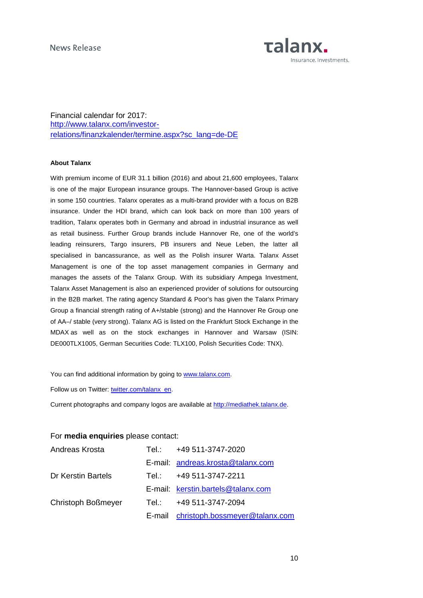

Financial calendar for 2017: http://www.talanx.com/investorrelations/finanzkalender/termine.aspx?sc\_lang=de-DE

#### **About Talanx**

With premium income of EUR 31.1 billion (2016) and about 21,600 employees, Talanx is one of the major European insurance groups. The Hannover-based Group is active in some 150 countries. Talanx operates as a multi-brand provider with a focus on B2B insurance. Under the HDI brand, which can look back on more than 100 years of tradition, Talanx operates both in Germany and abroad in industrial insurance as well as retail business. Further Group brands include Hannover Re, one of the world's leading reinsurers, Targo insurers, PB insurers and Neue Leben, the latter all specialised in bancassurance, as well as the Polish insurer Warta. Talanx Asset Management is one of the top asset management companies in Germany and manages the assets of the Talanx Group. With its subsidiary Ampega Investment, Talanx Asset Management is also an experienced provider of solutions for outsourcing in the B2B market. The rating agency Standard & Poor's has given the Talanx Primary Group a financial strength rating of A+/stable (strong) and the Hannover Re Group one of AA–/ stable (very strong). Talanx AG is listed on the Frankfurt Stock Exchange in the MDAX as well as on the stock exchanges in Hannover and Warsaw (ISIN: DE000TLX1005, German Securities Code: TLX100, Polish Securities Code: TNX).

You can find additional information by going to www.talanx.com.

Follow us on Twitter: twitter.com/talanx\_en.

Current photographs and company logos are available at http://mediathek.talanx.de.

### For **media enquiries** please contact:

| Andreas Krosta     | Tel.: +49 511-3747-2020               |
|--------------------|---------------------------------------|
|                    | E-mail: andreas.krosta@talanx.com     |
| Dr Kerstin Bartels | Tel.: +49 511-3747-2211               |
|                    | E-mail: kerstin.bartels@talanx.com    |
| Christoph Boßmeyer | Tel.: +49 511-3747-2094               |
|                    | E-mail christoph.bossmeyer@talanx.com |